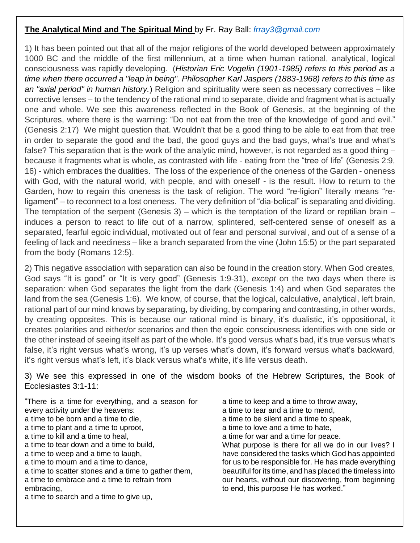## **The Analytical Mind and The Spiritual Mind** by Fr. Ray Ball: *[frray3@gmail.com](mailto:frray3@gmail.com)*

1) It has been pointed out that all of the major religions of the world developed between approximately 1000 BC and the middle of the first millennium, at a time when human rational, analytical, logical consciousness was rapidly developing. (*Historian Eric Vogelin (1901-1985) refers to this period as a time when there occurred a "leap in being". Philosopher Karl Jaspers (1883-1968) refers to this time as an "axial period" in human history.*) Religion and spirituality were seen as necessary correctives – like corrective lenses – to the tendency of the rational mind to separate, divide and fragment what is actually one and whole. We see this awareness reflected in the Book of Genesis, at the beginning of the Scriptures, where there is the warning: "Do not eat from the tree of the knowledge of good and evil." (Genesis 2:17) We might question that. Wouldn't that be a good thing to be able to eat from that tree in order to separate the good and the bad, the good guys and the bad guys, what's true and what's false? This separation that is the work of the analytic mind, however, is not regarded as a good thing – because it fragments what is whole, as contrasted with life - eating from the "tree of life" (Genesis 2:9, 16) - which embraces the dualities. The loss of the experience of the oneness of the Garden - oneness with God, with the natural world, with people, and with oneself - is the result. How to return to the Garden, how to regain this oneness is the task of religion. The word "re-ligion" literally means "religament" – to reconnect to a lost oneness. The very definition of "dia-bolical" is separating and dividing. The temptation of the serpent (Genesis 3) – which is the temptation of the lizard or reptilian brain – induces a person to react to life out of a narrow, splintered, self-centered sense of oneself as a separated, fearful egoic individual, motivated out of fear and personal survival, and out of a sense of a feeling of lack and neediness – like a branch separated from the vine (John 15:5) or the part separated from the body (Romans 12:5).

2) This negative association with separation can also be found in the creation story. When God creates, God says "It is good" or "It is very good" (Genesis 1:9-31), *except* on the two days when there is separation*:* when God separates the light from the dark (Genesis 1:4) and when God separates the land from the sea (Genesis 1:6). We know, of course, that the logical, calculative, analytical, left brain, rational part of our mind knows by separating, by dividing, by comparing and contrasting, in other words, by creating opposites. This is because our rational mind is binary, it's dualistic, it's oppositional, it creates polarities and either/or scenarios and then the egoic consciousness identifies with one side or the other instead of seeing itself as part of the whole. It's good versus what's bad, it's true versus what's false, it's right versus what's wrong, it's up verses what's down, it's forward versus what's backward, it's right versus what's left, it's black versus what's white, it's life versus death.

3) We see this expressed in one of the wisdom books of the Hebrew Scriptures, the Book of Ecclesiastes 3:1-11:

"There is a time for everything, and a season for every activity under the heavens: a time to be born and a time to die, a time to plant and a time to uproot, a time to kill and a time to heal, a time to tear down and a time to build, a time to weep and a time to laugh, a time to mourn and a time to dance, a time to scatter stones and a time to gather them, a time to embrace and a time to refrain from embracing, a time to search and a time to give up,

a time to keep and a time to throw away, a time to tear and a time to mend, a time to be silent and a time to speak, a time to love and a time to hate, a time for war and a time for peace. What purpose is there for all we do in our lives? I have considered the tasks which God has appointed for us to be responsible for. He has made everything beautiful for its time, and has placed the timeless into our hearts, without our discovering, from beginning to end, this purpose He has worked."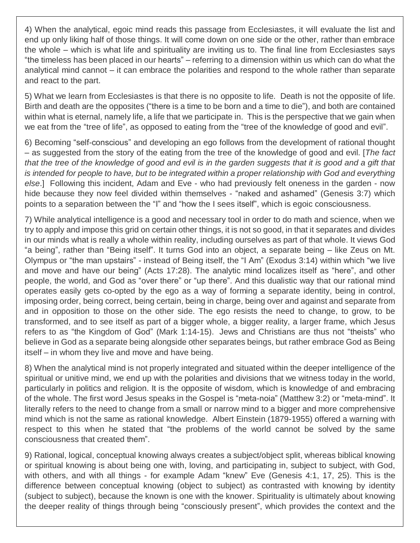4) When the analytical, egoic mind reads this passage from Ecclesiastes, it will evaluate the list and end up only liking half of those things. It will come down on one side or the other, rather than embrace the whole – which is what life and spirituality are inviting us to. The final line from Ecclesiastes says "the timeless has been placed in our hearts" – referring to a dimension within us which can do what the analytical mind cannot – it can embrace the polarities and respond to the whole rather than separate and react to the part.

5) What we learn from Ecclesiastes is that there is no opposite to life. Death is not the opposite of life. Birth and death are the opposites ("there is a time to be born and a time to die"), and both are contained within what is eternal, namely life, a life that we participate in. This is the perspective that we gain when we eat from the "tree of life", as opposed to eating from the "tree of the knowledge of good and evil".

6) Becoming "self-conscious" and developing an ego follows from the development of rational thought – as suggested from the story of the eating from the tree of the knowledge of good and evil. [*The fact* that the tree of the knowledge of good and evil is in the garden suggests that it is good and a gift that is intended for people to have, but to be integrated within a proper relationship with God and everything *else*.] Following this incident, Adam and Eve - who had previously felt oneness in the garden - now hide because they now feel divided within themselves - "naked and ashamed" (Genesis 3:7) which points to a separation between the "I" and "how the I sees itself", which is egoic consciousness.

7) While analytical intelligence is a good and necessary tool in order to do math and science, when we try to apply and impose this grid on certain other things, it is not so good, in that it separates and divides in our minds what is really a whole within reality, including ourselves as part of that whole. It views God "a being", rather than "Being itself". It turns God into an object, a separate being – like Zeus on Mt. Olympus or "the man upstairs" - instead of Being itself, the "I Am" (Exodus 3:14) within which "we live and move and have our being" (Acts 17:28). The analytic mind localizes itself as "here", and other people, the world, and God as "over there" or "up there". And this dualistic way that our rational mind operates easily gets co-opted by the ego as a way of forming a separate identity, being in control, imposing order, being correct, being certain, being in charge, being over and against and separate from and in opposition to those on the other side. The ego resists the need to change, to grow, to be transformed, and to see itself as part of a bigger whole, a bigger reality, a larger frame, which Jesus refers to as "the Kingdom of God" (Mark 1:14-15). Jews and Christians are thus not "theists" who believe in God as a separate being alongside other separates beings, but rather embrace God as Being itself – in whom they live and move and have being.

8) When the analytical mind is not properly integrated and situated within the deeper intelligence of the spiritual or unitive mind, we end up with the polarities and divisions that we witness today in the world, particularly in politics and religion. It is the opposite of wisdom, which is knowledge of and embracing of the whole. The first word Jesus speaks in the Gospel is "meta-noia" (Matthew 3:2) or "meta-mind". It literally refers to the need to change from a small or narrow mind to a bigger and more comprehensive mind which is not the same as rational knowledge. Albert Einstein (1879-1955) offered a warning with respect to this when he stated that "the problems of the world cannot be solved by the same consciousness that created them".

9) Rational, logical, conceptual knowing always creates a subject/object split, whereas biblical knowing or spiritual knowing is about being one with, loving, and participating in, subject to subject, with God, with others, and with all things - for example Adam "knew" Eve (Genesis 4:1, 17, 25). This is the difference between conceptual knowing (object to subject) as contrasted with knowing by identity (subject to subject), because the known is one with the knower. Spirituality is ultimately about knowing the deeper reality of things through being "consciously present", which provides the context and the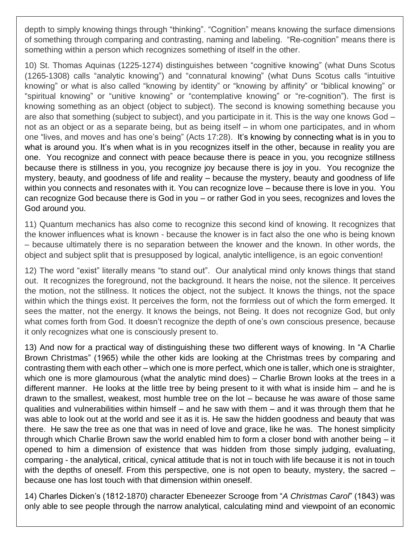depth to simply knowing things through "thinking". "Cognition" means knowing the surface dimensions of something through comparing and contrasting, naming and labeling. "Re-cognition" means there is something within a person which recognizes something of itself in the other.

10) St. Thomas Aquinas (1225-1274) distinguishes between "cognitive knowing" (what Duns Scotus (1265-1308) calls "analytic knowing") and "connatural knowing" (what Duns Scotus calls "intuitive knowing" or what is also called "knowing by identity" or "knowing by affinity" or "biblical knowing" or "spiritual knowing" or "unitive knowing" or "contemplative knowing" or "re-cognition"). The first is knowing something as an object (object to subject). The second is knowing something because you are also that something (subject to subject), and you participate in it. This is the way one knows God – not as an object or as a separate being, but as being itself – in whom one participates, and in whom one "lives, and moves and has one's being" (Acts 17:28). It's knowing by connecting what is in you to what is around you. It's when what is in you recognizes itself in the other, because in reality you are one. You recognize and connect with peace because there is peace in you, you recognize stillness because there is stillness in you, you recognize joy because there is joy in you. You recognize the mystery, beauty, and goodness of life and reality – because the mystery, beauty and goodness of life within you connects and resonates with it. You can recognize love – because there is love in you. You can recognize God because there is God in you – or rather God in you sees, recognizes and loves the God around you.

11) Quantum mechanics has also come to recognize this second kind of knowing. It recognizes that the knower influences what is known - because the knower is in fact also the one who is being known – because ultimately there is no separation between the knower and the known. In other words, the object and subject split that is presupposed by logical, analytic intelligence, is an egoic convention!

12) The word "exist" literally means "to stand out". Our analytical mind only knows things that stand out. It recognizes the foreground, not the background. It hears the noise, not the silence. It perceives the motion, not the stillness. It notices the object, not the subject. It knows the things, not the space within which the things exist. It perceives the form, not the formless out of which the form emerged. It sees the matter, not the energy. It knows the beings, not Being. It does not recognize God, but only what comes forth from God. It doesn't recognize the depth of one's own conscious presence, because it only recognizes what one is consciously present to.

13) And now for a practical way of distinguishing these two different ways of knowing. In "A Charlie Brown Christmas" (1965) while the other kids are looking at the Christmas trees by comparing and contrasting them with each other – which one is more perfect, which one is taller, which one is straighter, which one is more glamourous (what the analytic mind does) – Charlie Brown looks at the trees in a different manner. He looks at the little tree by being present to it with what is inside him – and he is drawn to the smallest, weakest, most humble tree on the lot – because he was aware of those same qualities and vulnerabilities within himself – and he saw with them – and it was through them that he was able to look out at the world and see it as it is. He saw the hidden goodness and beauty that was there. He saw the tree as one that was in need of love and grace, like he was. The honest simplicity through which Charlie Brown saw the world enabled him to form a closer bond with another being – it opened to him a dimension of existence that was hidden from those simply judging, evaluating, comparing - the analytical, critical, cynical attitude that is not in touch with life because it is not in touch with the depths of oneself. From this perspective, one is not open to beauty, mystery, the sacred – because one has lost touch with that dimension within oneself.

14) Charles Dicken's (1812-1870) character Ebeneezer Scrooge from "*A Christmas Carol*" (1843) was only able to see people through the narrow analytical, calculating mind and viewpoint of an economic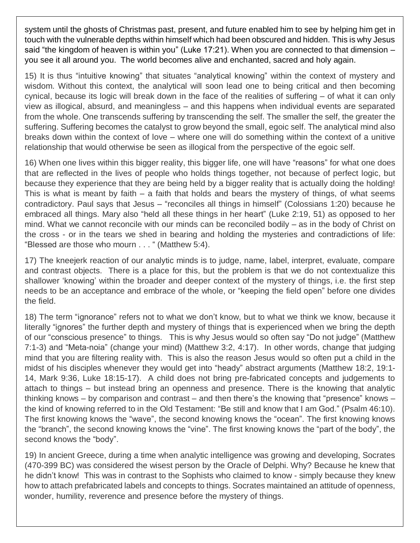system until the ghosts of Christmas past, present, and future enabled him to see by helping him get in touch with the vulnerable depths within himself which had been obscured and hidden. This is why Jesus said "the kingdom of heaven is within you" (Luke 17:21). When you are connected to that dimension – you see it all around you. The world becomes alive and enchanted, sacred and holy again.

15) It is thus "intuitive knowing" that situates "analytical knowing" within the context of mystery and wisdom. Without this context, the analytical will soon lead one to being critical and then becoming cynical, because its logic will break down in the face of the realities of suffering – of what it can only view as illogical, absurd, and meaningless – and this happens when individual events are separated from the whole. One transcends suffering by transcending the self. The smaller the self, the greater the suffering. Suffering becomes the catalyst to grow beyond the small, egoic self. The analytical mind also breaks down within the context of love – where one will do something within the context of a unitive relationship that would otherwise be seen as illogical from the perspective of the egoic self.

16) When one lives within this bigger reality, this bigger life, one will have "reasons" for what one does that are reflected in the lives of people who holds things together, not because of perfect logic, but because they experience that they are being held by a bigger reality that is actually doing the holding! This is what is meant by faith  $-$  a faith that holds and bears the mystery of things, of what seems contradictory. Paul says that Jesus – "reconciles all things in himself" (Colossians 1:20) because he embraced all things. Mary also "held all these things in her heart" (Luke 2:19, 51) as opposed to her mind. What we cannot reconcile with our minds can be reconciled bodily – as in the body of Christ on the cross - or in the tears we shed in bearing and holding the mysteries and contradictions of life: "Blessed are those who mourn . . . " (Matthew 5:4).

17) The kneejerk reaction of our analytic minds is to judge, name, label, interpret, evaluate, compare and contrast objects. There is a place for this, but the problem is that we do not contextualize this shallower 'knowing' within the broader and deeper context of the mystery of things, i.e. the first step needs to be an acceptance and embrace of the whole, or "keeping the field open" before one divides the field.

18) The term "ignorance" refers not to what we don't know, but to what we think we know, because it literally "ignores" the further depth and mystery of things that is experienced when we bring the depth of our "conscious presence" to things. This is why Jesus would so often say "Do not judge" (Matthew 7:1-3) and "Meta-noia" (change your mind) (Matthew 3:2, 4:17). In other words, change that judging mind that you are filtering reality with. This is also the reason Jesus would so often put a child in the midst of his disciples whenever they would get into "heady" abstract arguments (Matthew 18:2, 19:1- 14, Mark 9:36, Luke 18:15-17). A child does not bring pre-fabricated concepts and judgements to attach to things – but instead bring an openness and presence. There is the knowing that analytic thinking knows – by comparison and contrast – and then there's the knowing that "presence" knows – the kind of knowing referred to in the Old Testament: "Be still and know that I am God." (Psalm 46:10). The first knowing knows the "wave", the second knowing knows the "ocean". The first knowing knows the "branch", the second knowing knows the "vine". The first knowing knows the "part of the body", the second knows the "body".

19) In ancient Greece, during a time when analytic intelligence was growing and developing, Socrates (470-399 BC) was considered the wisest person by the Oracle of Delphi. Why? Because he knew that he didn't know! This was in contrast to the Sophists who claimed to know - simply because they knew how to attach prefabricated labels and concepts to things. Socrates maintained an attitude of openness, wonder, humility, reverence and presence before the mystery of things.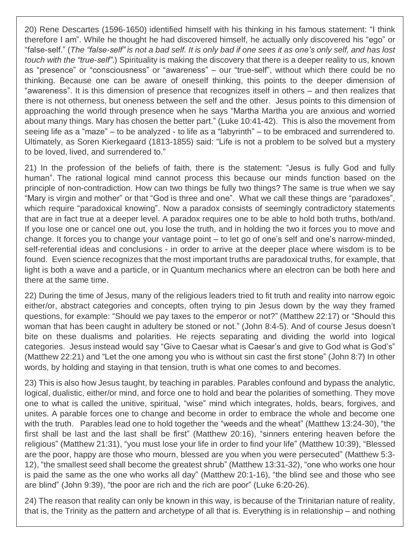20) Rene Descartes (1596-1650) identified himself with his thinking in his famous statement: "I think therefore I am". While he thought he had discovered himself, he actually only discovered his "ego" or "false-self." (The "false-self" is not a bad self. It is only bad if one sees it as one's only self, and has lost *touch with the "true-self"*.) Spirituality is making the discovery that there is a deeper reality to us, known as "presence" or "consciousness" or "awareness" – our "true-self", without which there could be no thinking. Because one can be aware of oneself thinking, this points to the deeper dimension of "awareness". It is this dimension of presence that recognizes itself in others – and then realizes that there is not otherness, but oneness between the self and the other. Jesus points to this dimension of approaching the world through presence when he says "Martha Martha you are anxious and worried about many things. Mary has chosen the better part." (Luke 10:41-42). This is also the movement from seeing life as a "maze" – to be analyzed - to life as a "labyrinth" – to be embraced and surrendered to. Ultimately, as Soren Kierkegaard (1813-1855) said: "Life is not a problem to be solved but a mystery to be loved, lived, and surrendered to."

21) In the profession of the beliefs of faith, there is the statement: "Jesus is fully God and fully human". The rational logical mind cannot process this because our minds function based on the principle of non-contradiction. How can two things be fully two things? The same is true when we say "Mary is virgin and mother" or that "God is three and one". What we call these things are "paradoxes", which require "paradoxical knowing". Now a paradox consists of seemingly contradictory statements that are in fact true at a deeper level. A paradox requires one to be able to hold both truths, both/and. If you lose one or cancel one out, you lose the truth, and in holding the two it forces you to move and change. It forces you to change your vantage point – to let go of one's self and one's narrow-minded, self-referential ideas and conclusions - in order to arrive at the deeper place where wisdom is to be found. Even science recognizes that the most important truths are paradoxical truths, for example, that light is both a wave and a particle, or in Quantum mechanics where an electron can be both here and there at the same time.

22) During the time of Jesus, many of the religious leaders tried to fit truth and reality into narrow egoic either/or, abstract categories and concepts, often trying to pin Jesus down by the way they framed questions, for example: "Should we pay taxes to the emperor or not?" (Matthew 22:17) or "Should this woman that has been caught in adultery be stoned or not." (John 8:4-5). And of course Jesus doesn't bite on these dualisms and polarities. He rejects separating and dividing the world into logical categories. Jesus instead would say "Give to Caesar what is Caesar's and give to God what is God's" (Matthew 22:21) and "Let the one among you who is without sin cast the first stone" (John 8:7) In other words, by holding and staying in that tension, truth is what one comes to and becomes.

23) This is also how Jesus taught, by teaching in parables. Parables confound and bypass the analytic, logical, dualistic, either/or mind, and force one to hold and bear the polarities of something. They move one to what is called the unitive, spiritual, "wise" mind which integrates, holds, bears, forgives, and unites. A parable forces one to change and become in order to embrace the whole and become one with the truth. Parables lead one to hold together the "weeds and the wheat" (Matthew 13:24-30), "the first shall be last and the last shall be first" (Matthew 20:16), "sinners entering heaven before the religious" (Matthew 21:31), "you must lose your life in order to find your life" (Matthew 10:39), "Blessed are the poor, happy are those who mourn, blessed are you when you were persecuted" (Matthew 5:3- 12), "the smallest seed shall become the greatest shrub" (Matthew 13:31-32), "one who works one hour is paid the same as the one who works all day" (Matthew 20:1-16), "the blind see and those who see are blind" (John 9:39), "the poor are rich and the rich are poor" (Luke 6:20-26).

24) The reason that reality can only be known in this way, is because of the Trinitarian nature of reality, that is, the Trinity as the pattern and archetype of all that is. Everything is in relationship – and nothing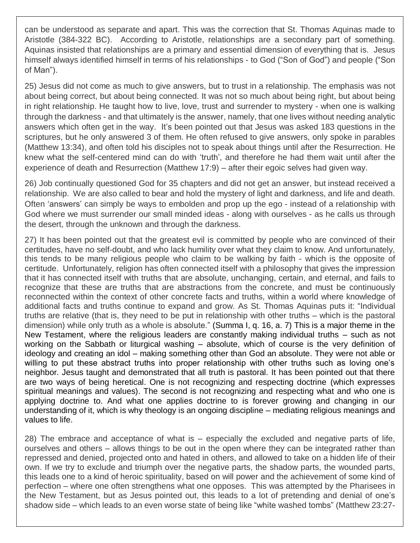can be understood as separate and apart. This was the correction that St. Thomas Aquinas made to Aristotle (384-322 BC). According to Aristotle, relationships are a secondary part of something. Aquinas insisted that relationships are a primary and essential dimension of everything that is. Jesus himself always identified himself in terms of his relationships - to God ("Son of God") and people ("Son of Man").

25) Jesus did not come as much to give answers, but to trust in a relationship. The emphasis was not about being correct, but about being connected. It was not so much about being right, but about being in right relationship. He taught how to live, love, trust and surrender to mystery - when one is walking through the darkness - and that ultimately is the answer, namely, that one lives without needing analytic answers which often get in the way. It's been pointed out that Jesus was asked 183 questions in the scriptures, but he only answered 3 of them. He often refused to give answers, only spoke in parables (Matthew 13:34), and often told his disciples not to speak about things until after the Resurrection. He knew what the self-centered mind can do with 'truth', and therefore he had them wait until after the experience of death and Resurrection (Matthew 17:9) – after their egoic selves had given way.

26) Job continually questioned God for 35 chapters and did not get an answer, but instead received a relationship. We are also called to bear and hold the mystery of light and darkness, and life and death. Often 'answers' can simply be ways to embolden and prop up the ego - instead of a relationship with God where we must surrender our small minded ideas - along with ourselves - as he calls us through the desert, through the unknown and through the darkness.

27) It has been pointed out that the greatest evil is committed by people who are convinced of their certitudes, have no self-doubt, and who lack humility over what they claim to know. And unfortunately, this tends to be many religious people who claim to be walking by faith - which is the opposite of certitude. Unfortunately, religion has often connected itself with a philosophy that gives the impression that it has connected itself with truths that are absolute, unchanging, certain, and eternal, and fails to recognize that these are truths that are abstractions from the concrete, and must be continuously reconnected within the context of other concrete facts and truths, within a world where knowledge of additional facts and truths continue to expand and grow. As St. Thomas Aquinas puts it: "Individual truths are relative (that is, they need to be put in relationship with other truths – which is the pastoral dimension) while only truth as a whole is absolute." (Summa I, q. 16, a. 7) This is a major theme in the New Testament, where the religious leaders are constantly making individual truths – such as not working on the Sabbath or liturgical washing – absolute, which of course is the very definition of ideology and creating an idol – making something other than God an absolute. They were not able or willing to put these abstract truths into proper relationship with other truths such as loving one's neighbor. Jesus taught and demonstrated that all truth is pastoral. It has been pointed out that there are two ways of being heretical. One is not recognizing and respecting doctrine (which expresses spiritual meanings and values). The second is not recognizing and respecting what and who one is applying doctrine to. And what one applies doctrine to is forever growing and changing in our understanding of it, which is why theology is an ongoing discipline – mediating religious meanings and values to life.

28) The embrace and acceptance of what is – especially the excluded and negative parts of life, ourselves and others – allows things to be out in the open where they can be integrated rather than repressed and denied, projected onto and hated in others, and allowed to take on a hidden life of their own. If we try to exclude and triumph over the negative parts, the shadow parts, the wounded parts, this leads one to a kind of heroic spirituality, based on will power and the achievement of some kind of perfection – where one often strengthens what one opposes. This was attempted by the Pharisees in the New Testament, but as Jesus pointed out, this leads to a lot of pretending and denial of one's shadow side – which leads to an even worse state of being like "white washed tombs" (Matthew 23:27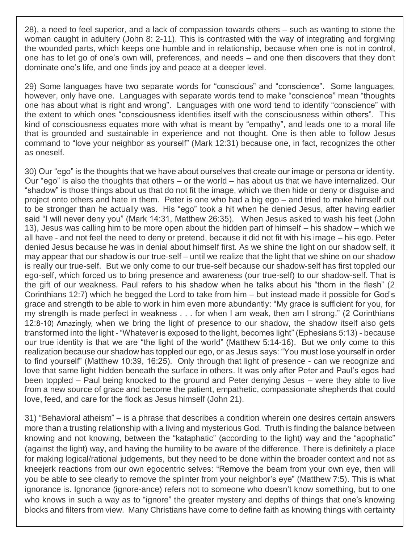28), a need to feel superior, and a lack of compassion towards others – such as wanting to stone the woman caught in adultery (John 8: 2-11). This is contrasted with the way of integrating and forgiving the wounded parts, which keeps one humble and in relationship, because when one is not in control, one has to let go of one's own will, preferences, and needs – and one then discovers that they don't dominate one's life, and one finds joy and peace at a deeper level.

29) Some languages have two separate words for "conscious" and "conscience". Some languages, however, only have one. Languages with separate words tend to make "conscience" mean "thoughts one has about what is right and wrong". Languages with one word tend to identify "conscience" with the extent to which ones "consciousness identifies itself with the consciousness within others". This kind of consciousness equates more with what is meant by "empathy", and leads one to a moral life that is grounded and sustainable in experience and not thought. One is then able to follow Jesus command to "love your neighbor as yourself" (Mark 12:31) because one, in fact, recognizes the other as oneself.

30) Our "ego" is the thoughts that we have about ourselves that create our image or persona or identity. Our "ego" is also the thoughts that others – or the world – has about us that we have internalized. Our "shadow" is those things about us that do not fit the image, which we then hide or deny or disguise and project onto others and hate in them. Peter is one who had a big ego – and tried to make himself out to be stronger than he actually was. His "ego" took a hit when he denied Jesus, after having earlier said "I will never deny you" (Mark 14:31, Matthew 26:35). When Jesus asked to wash his feet (John 13), Jesus was calling him to be more open about the hidden part of himself – his shadow – which we all have - and not feel the need to deny or pretend, because it did not fit with his image – his ego. Peter denied Jesus because he was in denial about himself first. As we shine the light on our shadow self, it may appear that our shadow is our true-self – until we realize that the light that we shine on our shadow is really our true-self. But we only come to our true-self because our shadow-self has first toppled our ego-self, which forced us to bring presence and awareness (our true-self) to our shadow-self. That is the gift of our weakness. Paul refers to his shadow when he talks about his "thorn in the flesh" (2 Corinthians 12:7) which he begged the Lord to take from him – but instead made it possible for God's grace and strength to be able to work in him even more abundantly: "My grace is sufficient for you, for my strength is made perfect in weakness . . . for when I am weak, then am I strong." (2 Corinthians 12:8-10) Amazingly, when we bring the light of presence to our shadow, the shadow itself also gets transformed into the light - "Whatever is exposed to the light, becomes light" (Ephesians 5:13) - because our true identity is that we are "the light of the world" (Matthew 5:14-16). But we only come to this realization because our shadow has toppled our ego, or as Jesus says: "You must lose yourself in order to find yourself" (Matthew 10:39, 16:25). Only through that light of presence - can we recognize and love that same light hidden beneath the surface in others. It was only after Peter and Paul's egos had been toppled – Paul being knocked to the ground and Peter denying Jesus – were they able to live from a new source of grace and become the patient, empathetic, compassionate shepherds that could love, feed, and care for the flock as Jesus himself (John 21).

31) "Behavioral atheism" – is a phrase that describes a condition wherein one desires certain answers more than a trusting relationship with a living and mysterious God. Truth is finding the balance between knowing and not knowing, between the "kataphatic" (according to the light) way and the "apophatic" (against the light) way, and having the humility to be aware of the difference. There is definitely a place for making logical/rational judgements, but they need to be done within the broader context and not as kneejerk reactions from our own egocentric selves: "Remove the beam from your own eye, then will you be able to see clearly to remove the splinter from your neighbor's eye" (Matthew 7:5). This is what ignorance is. Ignorance (ignore-ance) refers not to someone who doesn't know something, but to one who knows in such a way as to "ignore" the greater mystery and depths of things that one's knowing blocks and filters from view. Many Christians have come to define faith as knowing things with certainty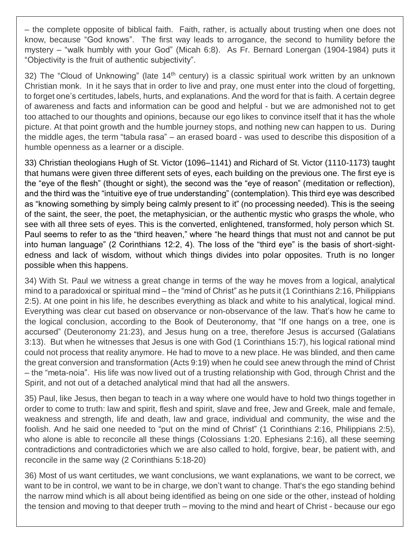– the complete opposite of biblical faith. Faith, rather, is actually about trusting when one does not know, because "God knows". The first way leads to arrogance, the second to humility before the mystery – "walk humbly with your God" (Micah 6:8). As Fr. Bernard Lonergan (1904-1984) puts it "Objectivity is the fruit of authentic subjectivity".

32) The "Cloud of Unknowing" (late  $14<sup>th</sup>$  century) is a classic spiritual work written by an unknown Christian monk. In it he says that in order to live and pray, one must enter into the cloud of forgetting, to forget one's certitudes, labels, hurts, and explanations. And the word for that is faith. A certain degree of awareness and facts and information can be good and helpful - but we are admonished not to get too attached to our thoughts and opinions, because our ego likes to convince itself that it has the whole picture. At that point growth and the humble journey stops, and nothing new can happen to us. During the middle ages, the term "tabula rasa" – an erased board - was used to describe this disposition of a humble openness as a learner or a disciple.

33) Christian theologians Hugh of St. Victor (1096–1141) and Richard of St. Victor (1110-1173) taught that humans were given three different sets of eyes, each building on the previous one. The first eye is the "eye of the flesh" (thought or sight), the second was the "eye of reason" (meditation or reflection), and the third was the "intuitive eye of true understanding" (contemplation). This third eye was described as "knowing something by simply being calmly present to it" (no processing needed). This is the seeing of the saint, the seer, the poet, the metaphysician, or the authentic mystic who grasps the whole, who see with all three sets of eyes. This is the converted, enlightened, transformed, holy person which St. Paul seems to refer to as the "third heaven," where "he heard things that must not and cannot be put into human language" (2 Corinthians 12:2, 4). The loss of the "third eye" is the basis of short-sightedness and lack of wisdom, without which things divides into polar opposites. Truth is no longer possible when this happens.

34) With St. Paul we witness a great change in terms of the way he moves from a logical, analytical mind to a paradoxical or spiritual mind – the "mind of Christ" as he puts it (1 Corinthians 2:16, Philippians 2:5). At one point in his life, he describes everything as black and white to his analytical, logical mind. Everything was clear cut based on observance or non-observance of the law. That's how he came to the logical conclusion, according to the Book of Deuteronomy, that "If one hangs on a tree, one is accursed" (Deuteronomy 21:23), and Jesus hung on a tree, therefore Jesus is accursed (Galatians 3:13). But when he witnesses that Jesus is one with God (1 Corinthians 15:7), his logical rational mind could not process that reality anymore. He had to move to a new place. He was blinded, and then came the great conversion and transformation (Acts 9:19) when he could see anew through the mind of Christ – the "meta-noia". His life was now lived out of a trusting relationship with God, through Christ and the Spirit, and not out of a detached analytical mind that had all the answers.

35) Paul, like Jesus, then began to teach in a way where one would have to hold two things together in order to come to truth: law and spirit, flesh and spirit, slave and free, Jew and Greek, male and female, weakness and strength, life and death, law and grace, individual and community, the wise and the foolish. And he said one needed to "put on the mind of Christ" (1 Corinthians 2:16, Philippians 2:5), who alone is able to reconcile all these things (Colossians 1:20. Ephesians 2:16), all these seeming contradictions and contradictories which we are also called to hold, forgive, bear, be patient with, and reconcile in the same way (2 Corinthians 5:18-20)

36) Most of us want certitudes, we want conclusions, we want explanations, we want to be correct, we want to be in control, we want to be in charge, we don't want to change. That's the ego standing behind the narrow mind which is all about being identified as being on one side or the other, instead of holding the tension and moving to that deeper truth – moving to the mind and heart of Christ - because our ego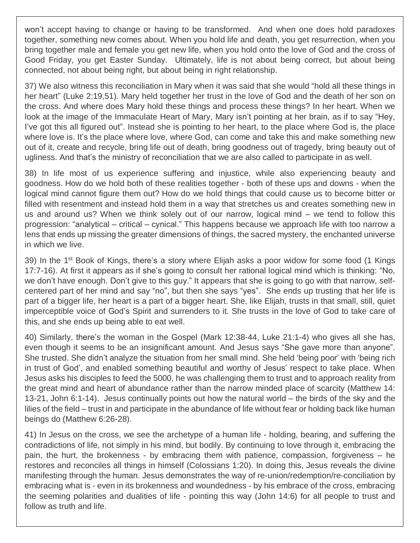won't accept having to change or having to be transformed. And when one does hold paradoxes together, something new comes about. When you hold life and death, you get resurrection, when you bring together male and female you get new life, when you hold onto the love of God and the cross of Good Friday, you get Easter Sunday. Ultimately, life is not about being correct, but about being connected, not about being right, but about being in right relationship.

37) We also witness this reconciliation in Mary when it was said that she would "hold all these things in her heart" (Luke 2:19,51). Mary held together her trust in the love of God and the death of her son on the cross. And where does Mary hold these things and process these things? In her heart. When we look at the image of the Immaculate Heart of Mary, Mary isn't pointing at her brain, as if to say "Hey, I've got this all figured out". Instead she is pointing to her heart, to the place where God is, the place where love is. It's the place where love, where God, can come and take this and make something new out of it, create and recycle, bring life out of death, bring goodness out of tragedy, bring beauty out of ugliness. And that's the ministry of reconciliation that we are also called to participate in as well.

38) In life most of us experience suffering and injustice, while also experiencing beauty and goodness. How do we hold both of these realities together - both of these ups and downs - when the logical mind cannot figure them out? How do we hold things that could cause us to become bitter or filled with resentment and instead hold them in a way that stretches us and creates something new in us and around us? When we think solely out of our narrow, logical mind – we tend to follow this progression: "analytical – critical – cynical." This happens because we approach life with too narrow a lens that ends up missing the greater dimensions of things, the sacred mystery, the enchanted universe in which we live.

39) In the 1<sup>st</sup> Book of Kings, there's a story where Elijah asks a poor widow for some food (1 Kings 17:7-16). At first it appears as if she's going to consult her rational logical mind which is thinking: "No, we don't have enough. Don't give to this guy." It appears that she is going to go with that narrow, selfcentered part of her mind and say "no", but then she says "yes". She ends up trusting that her life is part of a bigger life, her heart is a part of a bigger heart. She, like Elijah, trusts in that small, still, quiet imperceptible voice of God's Spirit and surrenders to it. She trusts in the love of God to take care of this, and she ends up being able to eat well.

40) Similarly, there's the woman in the Gospel (Mark 12:38-44, Luke 21:1-4) who gives all she has, even though it seems to be an insignificant amount. And Jesus says "She gave more than anyone". She trusted. She didn't analyze the situation from her small mind. She held 'being poor' with 'being rich in trust of God', and enabled something beautiful and worthy of Jesus' respect to take place. When Jesus asks his disciples to feed the 5000, he was challenging them to trust and to approach reality from the great mind and heart of abundance rather than the narrow minded place of scarcity (Matthew 14: 13-21, John 6:1-14). Jesus continually points out how the natural world – the birds of the sky and the lilies of the field – trust in and participate in the abundance of life without fear or holding back like human beings do (Matthew 6:26-28).

41) In Jesus on the cross, we see the archetype of a human life - holding, bearing, and suffering the contradictions of life, not simply in his mind, but bodily. By continuing to love through it, embracing the pain, the hurt, the brokenness - by embracing them with patience, compassion, forgiveness – he restores and reconciles all things in himself (Colossians 1:20). In doing this, Jesus reveals the divine manifesting through the human. Jesus demonstrates the way of re-union/redemption/re-conciliation by embracing what is - even in its brokenness and woundedness - by his embrace of the cross, embracing the seeming polarities and dualities of life - pointing this way (John 14:6) for all people to trust and follow as truth and life.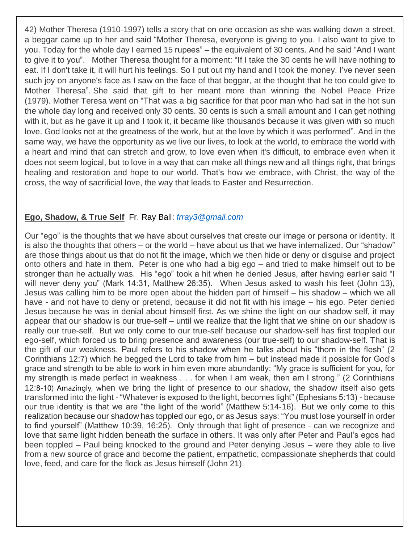42) Mother Theresa (1910-1997) tells a story that on one occasion as she was walking down a street, a beggar came up to her and said "Mother Theresa, everyone is giving to you. I also want to give to you. Today for the whole day I earned 15 rupees" – the equivalent of 30 cents. And he said "And I want to give it to you". Mother Theresa thought for a moment: "If I take the 30 cents he will have nothing to eat. If I don't take it, it will hurt his feelings. So I put out my hand and I took the money. I've never seen such joy on anyone's face as I saw on the face of that beggar, at the thought that he too could give to Mother Theresa". She said that gift to her meant more than winning the Nobel Peace Prize (1979). Mother Teresa went on "That was a big sacrifice for that poor man who had sat in the hot sun the whole day long and received only 30 cents. 30 cents is such a small amount and I can get nothing with it, but as he gave it up and I took it, it became like thousands because it was given with so much love. God looks not at the greatness of the work, but at the love by which it was performed". And in the same way, we have the opportunity as we live our lives, to look at the world, to embrace the world with a heart and mind that can stretch and grow, to love even when it's difficult, to embrace even when it does not seem logical, but to love in a way that can make all things new and all things right, that brings healing and restoration and hope to our world. That's how we embrace, with Christ, the way of the cross, the way of sacrificial love, the way that leads to Easter and Resurrection.

## **Ego, Shadow, & True Self** Fr. Ray Ball: *[frray3@gmail.com](mailto:frray3@gmail.com)*

Our "ego" is the thoughts that we have about ourselves that create our image or persona or identity. It is also the thoughts that others – or the world – have about us that we have internalized. Our "shadow" are those things about us that do not fit the image, which we then hide or deny or disguise and project onto others and hate in them. Peter is one who had a big ego – and tried to make himself out to be stronger than he actually was. His "ego" took a hit when he denied Jesus, after having earlier said "I will never deny you" (Mark 14:31, Matthew 26:35). When Jesus asked to wash his feet (John 13), Jesus was calling him to be more open about the hidden part of himself – his shadow – which we all have - and not have to deny or pretend, because it did not fit with his image – his ego. Peter denied Jesus because he was in denial about himself first. As we shine the light on our shadow self, it may appear that our shadow is our true-self – until we realize that the light that we shine on our shadow is really our true-self. But we only come to our true-self because our shadow-self has first toppled our ego-self, which forced us to bring presence and awareness (our true-self) to our shadow-self. That is the gift of our weakness. Paul refers to his shadow when he talks about his "thorn in the flesh" (2 Corinthians 12:7) which he begged the Lord to take from him – but instead made it possible for God's grace and strength to be able to work in him even more abundantly: "My grace is sufficient for you, for my strength is made perfect in weakness . . . for when I am weak, then am I strong." (2 Corinthians 12:8-10) Amazingly, when we bring the light of presence to our shadow, the shadow itself also gets transformed into the light - "Whatever is exposed to the light, becomes light" (Ephesians 5:13) - because our true identity is that we are "the light of the world" (Matthew 5:14-16). But we only come to this realization because our shadow has toppled our ego, or as Jesus says: "You must lose yourself in order to find yourself" (Matthew 10:39, 16:25). Only through that light of presence - can we recognize and love that same light hidden beneath the surface in others. It was only after Peter and Paul's egos had been toppled – Paul being knocked to the ground and Peter denying Jesus – were they able to live from a new source of grace and become the patient, empathetic, compassionate shepherds that could love, feed, and care for the flock as Jesus himself (John 21).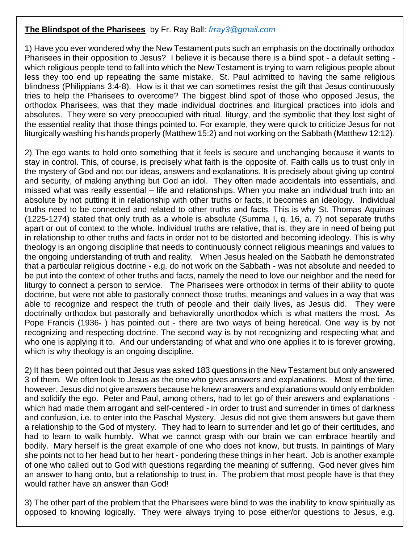## **The Blindspot of the Pharisees** by Fr. Ray Ball: *[frray3@gmail.com](mailto:frray3@gmail.com)*

1) Have you ever wondered why the New Testament puts such an emphasis on the doctrinally orthodox Pharisees in their opposition to Jesus? I believe it is because there is a blind spot - a default setting which religious people tend to fall into which the New Testament is trying to warn religious people about less they too end up repeating the same mistake. St. Paul admitted to having the same religious blindness (Philippians 3:4-8). How is it that we can sometimes resist the gift that Jesus continuously tries to help the Pharisees to overcome? The biggest blind spot of those who opposed Jesus, the orthodox Pharisees, was that they made individual doctrines and liturgical practices into idols and absolutes. They were so very preoccupied with ritual, liturgy, and the symbolic that they lost sight of the essential reality that those things pointed to. For example, they were quick to criticize Jesus for not liturgically washing his hands properly (Matthew 15:2) and not working on the Sabbath (Matthew 12:12).

2) The ego wants to hold onto something that it feels is secure and unchanging because it wants to stay in control. This, of course, is precisely what faith is the opposite of. Faith calls us to trust only in the mystery of God and not our ideas, answers and explanations. It is precisely about giving up control and security, of making anything but God an idol. They often made accidentals into essentials, and missed what was really essential – life and relationships. When you make an individual truth into an absolute by not putting it in relationship with other truths or facts, it becomes an ideology. Individual truths need to be connected and related to other truths and facts. This is why St. Thomas Aquinas (1225-1274) stated that only truth as a whole is absolute (Summa I, q. 16, a. 7) not separate truths apart or out of context to the whole. Individual truths are relative, that is, they are in need of being put in relationship to other truths and facts in order not to be distorted and becoming ideology. This is why theology is an ongoing discipline that needs to continuously connect religious meanings and values to the ongoing understanding of truth and reality. When Jesus healed on the Sabbath he demonstrated that a particular religious doctrine - e.g. do not work on the Sabbath - was not absolute and needed to be put into the context of other truths and facts, namely the need to love our neighbor and the need for liturgy to connect a person to service. The Pharisees were orthodox in terms of their ability to quote doctrine, but were not able to pastorally connect those truths, meanings and values in a way that was able to recognize and respect the truth of people and their daily lives, as Jesus did. They were doctrinally orthodox but pastorally and behaviorally unorthodox which is what matters the most. As Pope Francis (1936- ) has pointed out - there are two ways of being heretical. One way is by not recognizing and respecting doctrine. The second way is by not recognizing and respecting what and who one is applying it to. And our understanding of what and who one applies it to is forever growing, which is why theology is an ongoing discipline.

2) It has been pointed out that Jesus was asked 183 questions in the New Testament but only answered 3 of them. We often look to Jesus as the one who gives answers and explanations. Most of the time, however, Jesus did not give answers because he knew answers and explanations would only embolden and solidify the ego. Peter and Paul, among others, had to let go of their answers and explanations which had made them arrogant and self-centered - in order to trust and surrender in times of darkness and confusion, i.e. to enter into the Paschal Mystery. Jesus did not give them answers but gave them a relationship to the God of mystery. They had to learn to surrender and let go of their certitudes, and had to learn to walk humbly. What we cannot grasp with our brain we can embrace heartily and bodily. Mary herself is the great example of one who does not know, but trusts. In paintings of Mary she points not to her head but to her heart - pondering these things in her heart. Job is another example of one who called out to God with questions regarding the meaning of suffering. God never gives him an answer to hang onto, but a relationship to trust in. The problem that most people have is that they would rather have an answer than God!

3) The other part of the problem that the Pharisees were blind to was the inability to know spiritually as opposed to knowing logically. They were always trying to pose either/or questions to Jesus, e.g.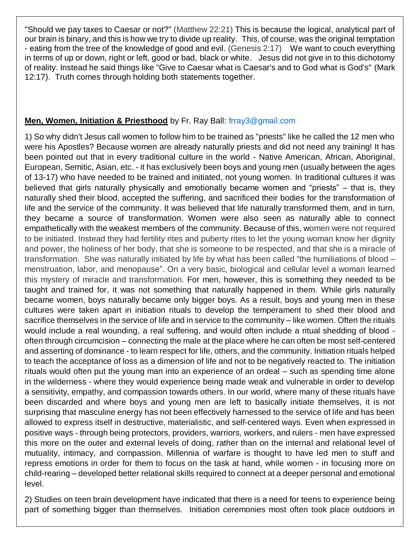"Should we pay taxes to Caesar or not?" (Matthew 22:21) This is because the logical, analytical part of our brain is binary, and this is how we try to divide up reality. This, of course, was the original temptation - eating from the tree of the knowledge of good and evil. (Genesis 2:17) We want to couch everything in terms of up or down, right or left, good or bad, black or white. Jesus did not give in to this dichotomy of reality. Instead he said things like "Give to Caesar what is Caesar's and to God what is God's" (Mark 12:17). Truth comes through holding both statements together.

## **Men, Women, Initiation & Priesthood** by Fr. Ray Ball: [frray3@gmail.com](mailto:frray3@gmail.com)

1) So why didn't Jesus call women to follow him to be trained as "priests" like he called the 12 men who were his Apostles? Because women are already naturally priests and did not need any training! It has been pointed out that in every traditional culture in the world - Native American, African, Aboriginal, European, Semitic, Asian, etc. - it has exclusively been boys and young men (usually between the ages of 13-17) who have needed to be trained and initiated, not young women. In traditional cultures it was believed that girls naturally physically and emotionally became women and "priests" – that is, they naturally shed their blood, accepted the suffering, and sacrificed their bodies for the transformation of life and the service of the community. It was believed that life naturally transformed them, and in turn, they became a source of transformation. Women were also seen as naturally able to connect empathetically with the weakest members of the community. Because of this, women were not required to be initiated. Instead they had fertility rites and puberty rites to let the young woman know her dignity and power, the holiness of her body, that she is someone to be respected, and that she is a miracle of transformation. She was naturally initiated by life by what has been called "the humiliations of blood – menstruation, labor, and menopause". On a very basic, biological and cellular level a woman learned this mystery of miracle and transformation. For men, however, this is something they needed to be taught and trained for, it was not something that naturally happened in them. While girls naturally became women, boys naturally became only bigger boys. As a result, boys and young men in these cultures were taken apart in initiation rituals to develop the temperament to shed their blood and sacrifice themselves in the service of life and in service to the community – like women. Often the rituals would include a real wounding, a real suffering, and would often include a ritual shedding of blood often through circumcision – connecting the male at the place where he can often be most self-centered and asserting of dominance - to learn respect for life, others, and the community. Initiation rituals helped to teach the acceptance of loss as a dimension of life and not to be negatively reacted to. The initiation rituals would often put the young man into an experience of an ordeal – such as spending time alone in the wilderness - where they would experience being made weak and vulnerable in order to develop a sensitivity, empathy, and compassion towards others. In our world, where many of these rituals have been discarded and where boys and young men are left to basically initiate themselves, it is not surprising that masculine energy has not been effectively harnessed to the service of life and has been allowed to express itself in destructive, materialistic, and self-centered ways. Even when expressed in positive ways - through being protectors, providers, warriors, workers, and rulers - men have expressed this more on the outer and external levels of doing, rather than on the internal and relational level of mutuality, intimacy, and compassion. Millennia of warfare is thought to have led men to stuff and repress emotions in order for them to focus on the task at hand, while women - in focusing more on child-rearing – developed better relational skills required to connect at a deeper personal and emotional level.

2) Studies on teen brain development have indicated that there is a need for teens to experience being part of something bigger than themselves. Initiation ceremonies most often took place outdoors in